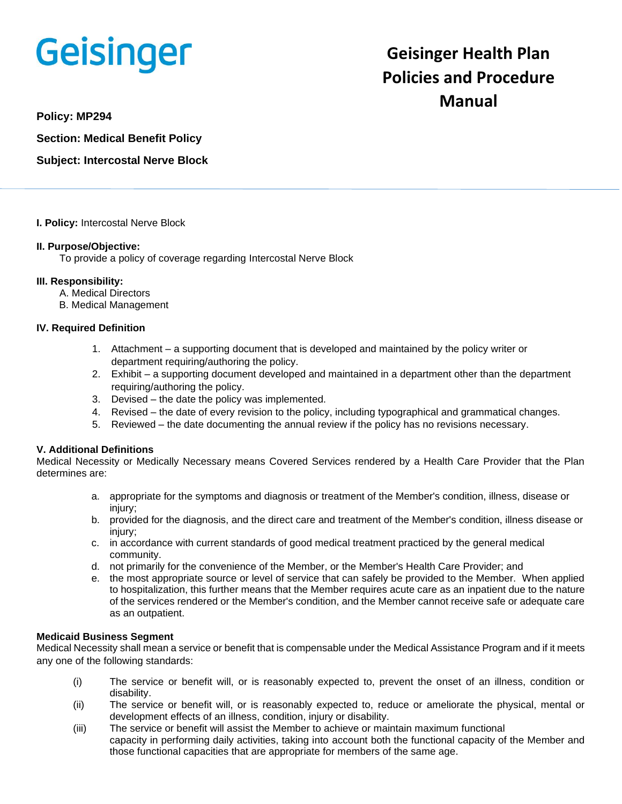# **Geisinger**

# **Geisinger Health Plan Policies and Procedure Manual**

**Policy: MP294**

**Section: Medical Benefit Policy**

**Subject: Intercostal Nerve Block**

# **I. Policy:** Intercostal Nerve Block

# **II. Purpose/Objective:**

To provide a policy of coverage regarding Intercostal Nerve Block

# **III. Responsibility:**

- A. Medical Directors
- B. Medical Management

# **IV. Required Definition**

- 1. Attachment a supporting document that is developed and maintained by the policy writer or department requiring/authoring the policy.
- 2. Exhibit a supporting document developed and maintained in a department other than the department requiring/authoring the policy.
- 3. Devised the date the policy was implemented.
- 4. Revised the date of every revision to the policy, including typographical and grammatical changes.
- 5. Reviewed the date documenting the annual review if the policy has no revisions necessary.

# **V. Additional Definitions**

Medical Necessity or Medically Necessary means Covered Services rendered by a Health Care Provider that the Plan determines are:

- a. appropriate for the symptoms and diagnosis or treatment of the Member's condition, illness, disease or injury;
- b. provided for the diagnosis, and the direct care and treatment of the Member's condition, illness disease or injury;
- c. in accordance with current standards of good medical treatment practiced by the general medical community.
- d. not primarily for the convenience of the Member, or the Member's Health Care Provider; and
- e. the most appropriate source or level of service that can safely be provided to the Member. When applied to hospitalization, this further means that the Member requires acute care as an inpatient due to the nature of the services rendered or the Member's condition, and the Member cannot receive safe or adequate care as an outpatient.

#### **Medicaid Business Segment**

Medical Necessity shall mean a service or benefit that is compensable under the Medical Assistance Program and if it meets any one of the following standards:

- (i) The service or benefit will, or is reasonably expected to, prevent the onset of an illness, condition or disability.
- (ii) The service or benefit will, or is reasonably expected to, reduce or ameliorate the physical, mental or development effects of an illness, condition, injury or disability.
- (iii) The service or benefit will assist the Member to achieve or maintain maximum functional capacity in performing daily activities, taking into account both the functional capacity of the Member and those functional capacities that are appropriate for members of the same age.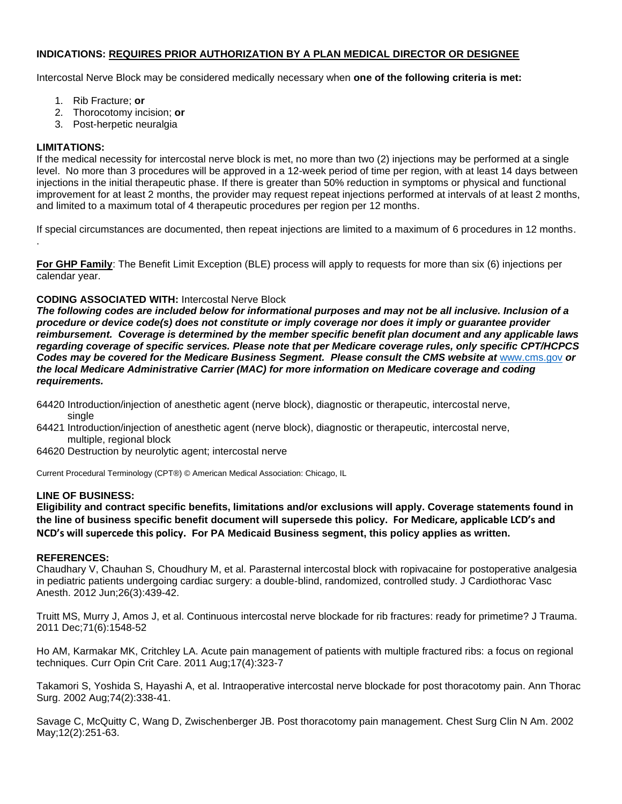# **INDICATIONS: REQUIRES PRIOR AUTHORIZATION BY A PLAN MEDICAL DIRECTOR OR DESIGNEE**

Intercostal Nerve Block may be considered medically necessary when **one of the following criteria is met:**

- 1. Rib Fracture; **or**
- 2. Thorocotomy incision; **or**
- 3. Post-herpetic neuralgia

### **LIMITATIONS:**

.

If the medical necessity for intercostal nerve block is met, no more than two (2) injections may be performed at a single level. No more than 3 procedures will be approved in a 12-week period of time per region, with at least 14 days between injections in the initial therapeutic phase. If there is greater than 50% reduction in symptoms or physical and functional improvement for at least 2 months, the provider may request repeat injections performed at intervals of at least 2 months, and limited to a maximum total of 4 therapeutic procedures per region per 12 months.

If special circumstances are documented, then repeat injections are limited to a maximum of 6 procedures in 12 months.

**For GHP Family**: The Benefit Limit Exception (BLE) process will apply to requests for more than six (6) injections per calendar year.

#### **CODING ASSOCIATED WITH:** Intercostal Nerve Block

*The following codes are included below for informational purposes and may not be all inclusive. Inclusion of a procedure or device code(s) does not constitute or imply coverage nor does it imply or guarantee provider reimbursement. Coverage is determined by the member specific benefit plan document and any applicable laws regarding coverage of specific services. Please note that per Medicare coverage rules, only specific CPT/HCPCS Codes may be covered for the Medicare Business Segment. Please consult the CMS website at* [www.cms.gov](http://www.cms.gov/) *or the local Medicare Administrative Carrier (MAC) for more information on Medicare coverage and coding requirements.*

- 64420 Introduction/injection of anesthetic agent (nerve block), diagnostic or therapeutic, intercostal nerve, single
- 64421 Introduction/injection of anesthetic agent (nerve block), diagnostic or therapeutic, intercostal nerve, multiple, regional block
- 64620 Destruction by neurolytic agent; intercostal nerve

Current Procedural Terminology (CPT®) © American Medical Association: Chicago, IL

#### **LINE OF BUSINESS:**

**Eligibility and contract specific benefits, limitations and/or exclusions will apply. Coverage statements found in the line of business specific benefit document will supersede this policy. For Medicare, applicable LCD's and NCD's will supercede this policy. For PA Medicaid Business segment, this policy applies as written.**

#### **REFERENCES:**

Chaudhary V, Chauhan S, Choudhury M, et al. Parasternal intercostal block with ropivacaine for postoperative analgesia in pediatric patients undergoing cardiac surgery: a double-blind, randomized, controlled study. J Cardiothorac Vasc Anesth. 2012 Jun;26(3):439-42.

Truitt MS, Murry J, Amos J, et al. Continuous intercostal nerve blockade for rib fractures: ready for primetime? J Trauma. 2011 Dec;71(6):1548-52

Ho AM, Karmakar MK, Critchley LA. Acute pain management of patients with multiple fractured ribs: a focus on regional techniques. Curr Opin Crit Care. 2011 Aug;17(4):323-7

Takamori S, Yoshida S, Hayashi A, et al. Intraoperative intercostal nerve blockade for post thoracotomy pain. Ann Thorac Surg. 2002 Aug;74(2):338-41.

Savage C, McQuitty C, Wang D, Zwischenberger JB. Post thoracotomy pain management. Chest Surg Clin N Am. 2002 May;12(2):251-63.